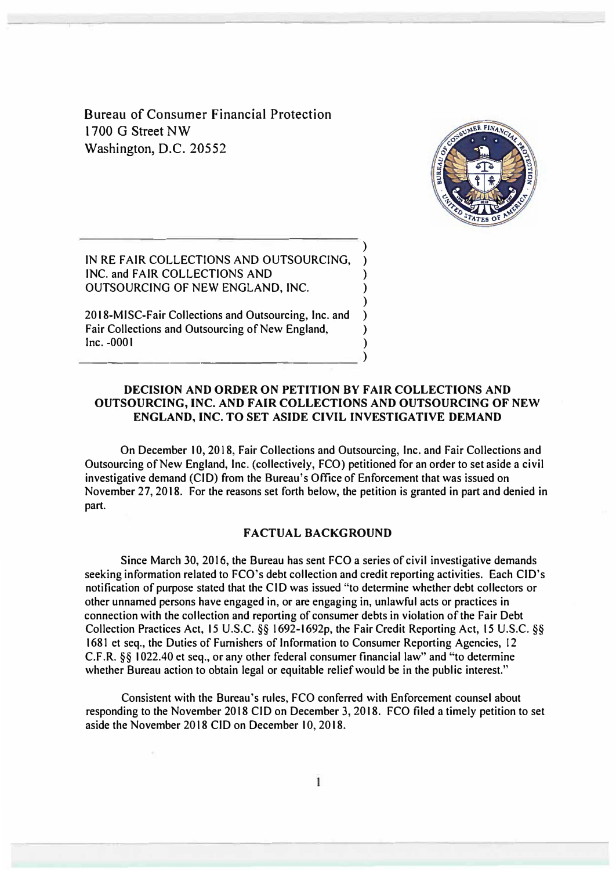Bureau of Consumer Financial Protection 1700 G Street NW Washington, D.C. 20552



IN RE FAIR COLLECTIONS AND OUTSOURCING. **INC. and FAIR COLLECTIONS AND ) OUTSOURCING OF NEW ENGLAND, INC. )** 

**2018-MISC-Fair Collections and Outsourcing, Inc. and Fair Collections and Outsourcing of New England, Inc. -0001** 

 $\frac{1}{2}$  , and the set of the set of the set of the set of the set of the set of the set of the set of the set of the set of the set of the set of the set of the set of the set of the set of the set of the set of the set

## **DECISION AND ORDER ON PETITION BY FAIR COLLECTIONS AND OUTSOURCING, INC. AND FAIR COLLECTIONS AND OUTSOURCING OF NEW ENGLAND, INC. TO SET ASIDE CIVIL INVESTIGATIVE DEMAND**

)

) ) ) )

**On December I 0, 2018, Fair Collections and Outsourcing, Inc. and Fair Collections and Outsourcing of New England, Inc. (collectively, FCO) petitioned for an order to set aside a civil investigative demand (CID) from the Bureau's Office of Enforcement that was issued on November 27, 2018. For the reasons set forth below, the petition is granted in part and denied in part.** 

## **FACTUAL BACKGROUND**

**Since March 30, 2016, the Bureau has sent FCO a series of civil investigative demands**  seeking information related to FCO's debt collection and credit reporting activities. Each CID's **notification of purpose stated that the CID was issued "to determine whether debt collectors or other unnamed persons have engaged in, or are engaging in, unlawful acts or practices in connection with the collection and reporting of consumer debts in violation of the Fair Debt Collection Practices Act, 15 U.S.C. §§ I 692-1692p, the Fair Credit Reporting Act, 15 U.S.C.** *§§*  **1681 et seq., the Duties of Furnishers of Information to Consumer Reporting Agencies, 12 C.F .R. §§ I 022.40 et seq., or any other federal consumer financial law" and "to determine whether Bureau action to obtain legal or equitable relief would be in the public interest."**

**Consistent with the Bureau's rules, FCO conferred with Enforcement counsel about responding to the November 2018 CID on December 3, 2018. FCO filed a timely petition to set aside the November 2018 CID on December 10, 2018.**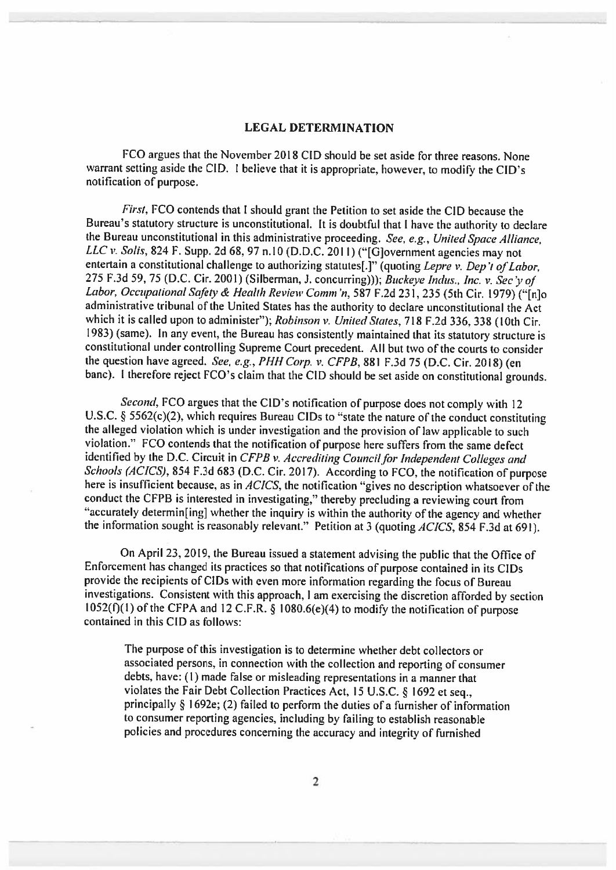## **LEGAL DETERMINATION**

FCO argues that the November 2018 CID should be set aside for three reasons. None warrant setting aside the CID. I believe that it is appropriate, however, to modify the CID's notification of purpose.

First, FCO contends that I should grant the Petition to set aside the CID because the Bureau's statutory structure is unconstitutional. It is doubtful that I have the authority to declare the Bureau unconstitutional in this administrative proceeding. See, e.g., United Space Alliance, LLC v. Solis, 824 F. Supp. 2d 68, 97 n.10 (D.D.C. 2011) ("[Glovernment agencies may not entertain a constitutional challenge to authorizing statutes[.]" (quoting Lepre v. Dep't of Labor, 275 F.3d 59, 75 (D.C. Cir. 2001) (Silberman, J. concurring))); Buckeye Indus., Inc. v. Sec'y of Labor, Occupational Safety & Health Review Comm'n, 587 F.2d 231, 235 (5th Cir. 1979) ("[n]o administrative tribunal of the United States has the authority to declare unconstitutional the Act which it is called upon to administer"); Robinson v. United States, 718 F.2d 336, 338 (10th Cir. 1983) (same). In any event, the Bureau has consistently maintained that its statutory structure is constitutional under controlling Supreme Court precedent. All but two of the courts to consider the question have agreed. See, e.g., PHH Corp. v. CFPB, 881 F.3d 75 (D.C. Cir. 2018) (en banc). I therefore reject FCO's claim that the CID should be set aside on constitutional grounds.

Second, FCO argues that the CID's notification of purpose does not comply with 12 U.S.C.  $\S$  5562(c)(2), which requires Bureau CIDs to "state the nature of the conduct constituting the alleged violation which is under investigation and the provision of law applicable to such violation." FCO contends that the notification of purpose here suffers from the same defect identified by the D.C. Circuit in CFPB v. Accrediting Council for Independent Colleges and Schools (ACICS), 854 F.3d 683 (D.C. Cir. 2017). According to FCO, the notification of purpose here is insufficient because, as in  $ACICS$ , the notification "gives no description whatsoever of the conduct the CFPB is interested in investigating," thereby precluding a reviewing court from "accurately determin[ing] whether the inquiry is within the authority of the agency and whether the information sought is reasonably relevant." Petition at 3 (quoting  $ACICS$ , 854 F.3d at 691).

On April 23, 2019, the Bureau issued a statement advising the public that the Office of Enforcement has changed its practices so that notifications of purpose contained in its CIDs provide the recipients of CIDs with even more information regarding the focus of Bureau investigations. Consistent with this approach, I am exercising the discretion afforded by section  $1052(f)(1)$  of the CFPA and 12 C.F.R. § 1080.6(e)(4) to modify the notification of purpose contained in this CID as follows:

The purpose of this investigation is to determine whether debt collectors or associated persons, in connection with the collection and reporting of consumer debts, have: (1) made false or misleading representations in a manner that violates the Fair Debt Collection Practices Act, 15 U.S.C. § 1692 et seq., principally  $\S$  1692e; (2) failed to perform the duties of a furnisher of information to consumer reporting agencies, including by failing to establish reasonable policies and procedures concerning the accuracy and integrity of furnished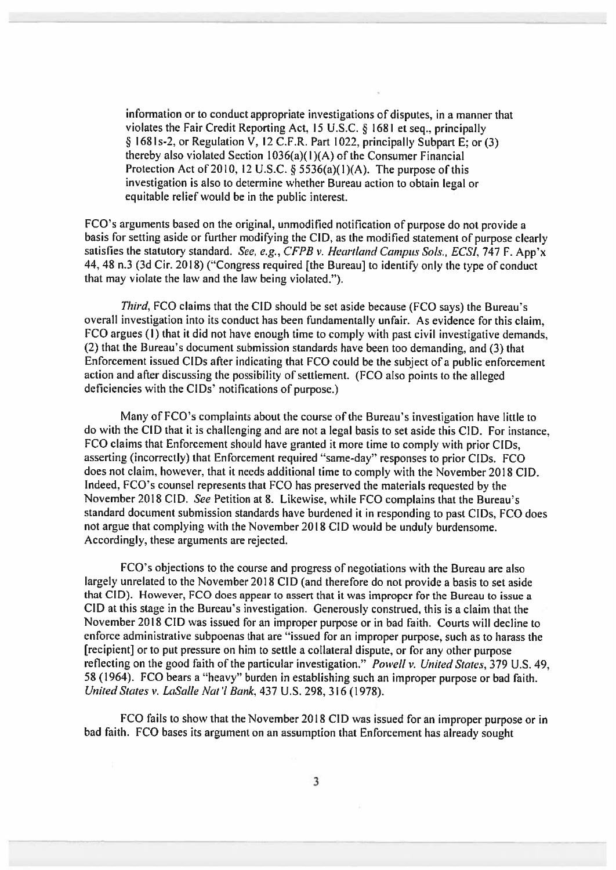information or to conduct appropriate investigations of disputes, in a manner that violates the Fair Credit Reporting Act, 15 U.S.C. § 1681 et seq., principally § 1681s-2, or Regulation V, 12 C.F.R. Part 1022, principally Subpart E: or (3) thereby also violated Section 1036(a)(1)(A) of the Consumer Financial Protection Act of 2010, 12 U.S.C.  $\S$  5536(a)(1)(A). The purpose of this investigation is also to determine whether Bureau action to obtain legal or equitable relief would be in the public interest.

FCO's arguments based on the original, unmodified notification of purpose do not provide a basis for setting aside or further modifying the CID, as the modified statement of purpose clearly satisfies the statutory standard. See, e.g., CFPB v. Heartland Campus Sols., ECSI, 747 F. App'x 44, 48 n.3 (3d Cir. 2018) ("Congress required [the Bureau] to identify only the type of conduct that may violate the law and the law being violated.").

Third, FCO claims that the CID should be set aside because (FCO savs) the Bureau's overall investigation into its conduct has been fundamentally unfair. As evidence for this claim, FCO argues (1) that it did not have enough time to comply with past civil investigative demands. (2) that the Bureau's document submission standards have been too demanding, and (3) that Enforcement issued CIDs after indicating that FCO could be the subject of a public enforcement action and after discussing the possibility of settlement. (FCO also points to the alleged deficiencies with the CIDs' notifications of purpose.)

Many of FCO's complaints about the course of the Bureau's investigation have little to do with the CID that it is challenging and are not a legal basis to set aside this CID. For instance, FCO claims that Enforcement should have granted it more time to comply with prior CIDs, asserting (incorrectly) that Enforcement required "same-day" responses to prior CIDs. FCO does not claim, however, that it needs additional time to comply with the November 2018 CID. Indeed, FCO's counsel represents that FCO has preserved the materials requested by the November 2018 CID. See Petition at 8. Likewise, while FCO complains that the Bureau's standard document submission standards have burdened it in responding to past CIDs, FCO does not argue that complying with the November 2018 CID would be unduly burdensome. Accordingly, these arguments are rejected.

FCO's objections to the course and progress of negotiations with the Bureau are also largely unrelated to the November 2018 CID (and therefore do not provide a basis to set aside that CID). However, FCO does appear to assert that it was improper for the Bureau to issue a CID at this stage in the Bureau's investigation. Generously construed, this is a claim that the November 2018 CID was issued for an improper purpose or in bad faith. Courts will decline to enforce administrative subpoenas that are "issued for an improper purpose, such as to harass the [recipient] or to put pressure on him to settle a collateral dispute, or for any other purpose reflecting on the good faith of the particular investigation." Powell v. United States, 379 U.S. 49, 58 (1964). FCO bears a "heavy" burden in establishing such an improper purpose or bad faith. United States v. LaSalle Nat'l Bank, 437 U.S. 298, 316 (1978).

FCO fails to show that the November 2018 CID was issued for an improper purpose or in bad faith. FCO bases its argument on an assumption that Enforcement has already sought